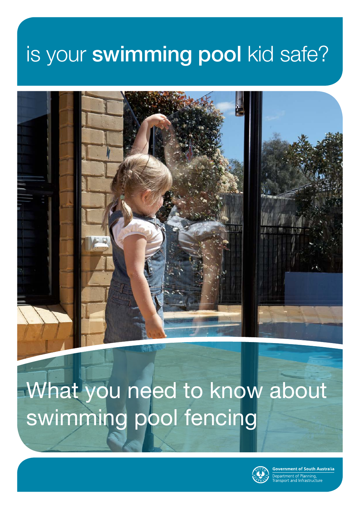# is your swimming pool kid safe?



# What you need to know about swimming pool fencing



wernment of South Australia partment of Planning,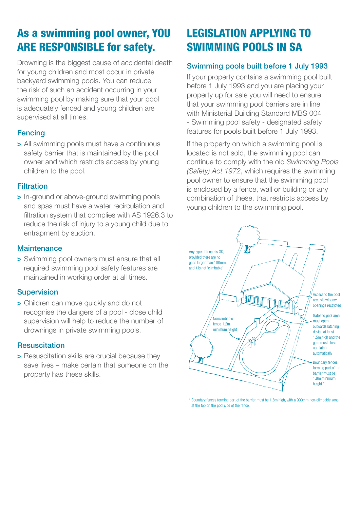# As a swimming pool owner, YOU ARE RESPONSIBLE for safety.

Drowning is the biggest cause of accidental death for young children and most occur in private backyard swimming pools. You can reduce the risk of such an accident occurring in your swimming pool by making sure that your pool is adequately fenced and young children are supervised at all times.

## **Fencing**

**>** All swimming pools must have a continuous safety barrier that is maintained by the pool owner and which restricts access by young children to the pool.

## **Filtration**

**>** In-ground or above-ground swimming pools and spas must have a water recirculation and filtration system that complies with AS 1926.3 to reduce the risk of injury to a young child due to entrapment by suction.

#### **Maintenance**

**>** Swimming pool owners must ensure that all required swimming pool safety features are maintained in working order at all times.

## **Supervision**

**>** Children can move quickly and do not recognise the dangers of a pool - close child supervision will help to reduce the number of drownings in private swimming pools.

## **Resuscitation**

**>** Resuscitation skills are crucial because they save lives – make certain that someone on the property has these skills.

# LEGISLATION APPLYING TO SWIMMING POOLS IN SA

# Swimming pools built before 1 July 1993

If your property contains a swimming pool built before 1 July 1993 and you are placing your property up for sale you will need to ensure that your swimming pool barriers are in line with Ministerial Building Standard MBS 004 - Swimming pool safety - designated safety features for pools built before 1 July 1993.

If the property on which a swimming pool is located is not sold, the swimming pool can continue to comply with the old *Swimming Pools (Safety) Act 1972*, which requires the swimming pool owner to ensure that the swimming pool is enclosed by a fence, wall or building or any combination of these, that restricts access by young children to the swimming pool.



\* Boundary fences forming part of the barrier must be 1.8m high, with a 900mm non-climbable zone at the top on the pool side of the fence.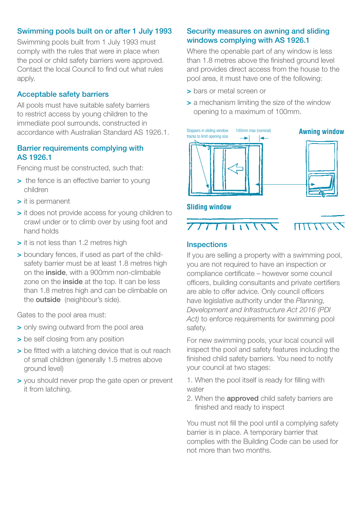#### Swimming pools built on or after 1 July 1993

Swimming pools built from 1 July 1993 must comply with the rules that were in place when the pool or child safety barriers were approved. Contact the local Council to find out what rules apply.

#### Acceptable safety barriers

All pools must have suitable safety barriers to restrict access by young children to the immediate pool surrounds, constructed in accordance with Australian Standard AS 1926.1.

#### Barrier requirements complying with AS 1926.1

Fencing must be constructed, such that:

- **>** the fence is an effective barrier to young children
- **>** it is permanent
- **>** it does not provide access for young children to crawl under or to climb over by using foot and hand holds
- **>** it is not less than 1.2 metres high
- **>** boundary fences, if used as part of the childsafety barrier must be at least 1.8 metres high on the inside, with a 900mm non-climbable zone on the *inside* at the top. It can be less than 1.8 metres high and can be climbable on the outside (neighbour's side).

Gates to the pool area must:

- **>** only swing outward from the pool area
- **>** be self closing from any position
- **>** be fitted with a latching device that is out reach of small children (generally 1.5 metres above ground level)
- **>** you should never prop the gate open or prevent it from latching.

## Security measures on awning and sliding windows complying with AS 1926.1

Where the openable part of any window is less than 1.8 metres above the finished ground level and provides direct access from the house to the pool area, it must have one of the following:

- **>** bars or metal screen or
- **>** a mechanism limiting the size of the window opening to a maximum of 100mm.





#### **Inspections**

If you are selling a property with a swimming pool, you are not required to have an inspection or compliance certificate – however some council officers, building consultants and private certifiers are able to offer advice. Only council officers have legislative authority under the *Planning, Development and Infrastructure Act 2016 (PDI Act)* to enforce requirements for swimming pool safety.

For new swimming pools, your local council will inspect the pool and safety features including the finished child safety barriers. You need to notify your council at two stages:

1. When the pool itself is ready for filling with water

2. When the **approved** child safety barriers are finished and ready to inspect

You must not fill the pool until a complying safety barrier is in place. A temporary barrier that complies with the Building Code can be used for not more than two months.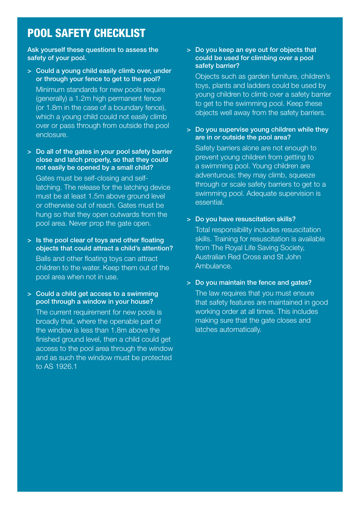# POOL SAFETY CHECKLIST

Ask yourself these questions to assess the safety of your pool.

- > Could a young child easily climb over, under or through your fence to get to the pool? Minimum standards for new pools require (generally) a 1.2m high permanent fence (or 1.8m in the case of a boundary fence), which a young child could not easily climb over or pass through from outside the pool enclosure.
- > Do all of the gates in your pool safety barrier close and latch properly, so that they could not easily be opened by a small child? Gates must be self-closing and selflatching. The release for the latching device must be at least 1.5m above ground level or otherwise out of reach. Gates must be hung so that they open outwards from the pool area. Never prop the gate open.
- > Is the pool clear of toys and other floating objects that could attract a child's attention? Balls and other floating toys can attract children to the water. Keep them out of the pool area when not in use.
- > Could a child get access to a swimming pool through a window in your house?

The current requirement for new pools is broadly that, where the openable part of the window is less than 1.8m above the finished ground level, then a child could get access to the pool area through the window and as such the window must be protected to AS 1926.1

#### > Do you keep an eye out for objects that could be used for climbing over a pool safety barrier?

Objects such as garden furniture, children's toys, plants and ladders could be used by young children to climb over a safety barrier to get to the swimming pool. Keep these objects well away from the safety barriers.

 > Do you supervise young children while they are in or outside the pool area?

Safety barriers alone are not enough to prevent young children from getting to a swimming pool. Young children are adventurous; they may climb, squeeze through or scale safety barriers to get to a swimming pool. Adequate supervision is essential.

> Do you have resuscitation skills?

Total responsibility includes resuscitation skills. Training for resuscitation is available from The Royal Life Saving Society, Australian Red Cross and St John Ambulance.

> Do you maintain the fence and gates?

The law requires that you must ensure that safety features are maintained in good working order at all times. This includes making sure that the gate closes and latches automatically.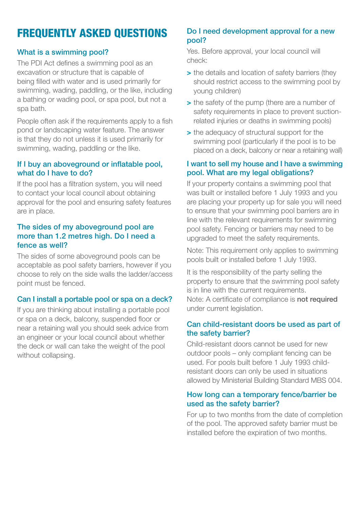# FREQUENTLY ASKED QUESTIONS

## What is a swimming pool?

The PDI Act defines a swimming pool as an excavation or structure that is capable of being filled with water and is used primarily for swimming, wading, paddling, or the like, including a bathing or wading pool, or spa pool, but not a spa bath.

People often ask if the requirements apply to a fish pond or landscaping water feature. The answer is that they do not unless it is used primarily for swimming, wading, paddling or the like.

#### If I buy an aboveground or inflatable pool, what do I have to do?

If the pool has a filtration system, you will need to contact your local council about obtaining approval for the pool and ensuring safety features are in place.

#### The sides of my aboveground pool are more than 1.2 metres high. Do I need a fence as well?

The sides of some aboveground pools can be acceptable as pool safety barriers, however if you choose to rely on the side walls the ladder/access point must be fenced.

## Can I install a portable pool or spa on a deck?

 near a retaining wall you should seek advice from an engineer or your local council about whether If you are thinking about installing a portable pool or spa on a deck, balcony, suspended floor or the deck or wall can take the weight of the pool without collapsing.

#### Do I need development approval for a new pool?

Yes. Before approval, your local council will check:

- **>** the details and location of safety barriers (they should restrict access to the swimming pool by young children)
- **>** the safety of the pump (there are a number of safety requirements in place to prevent suctionrelated injuries or deaths in swimming pools)
- **>** the adequacy of structural support for the swimming pool (particularly if the pool is to be placed on a deck, balcony or near a retaining wall)

#### I want to sell my house and I have a swimming pool. What are my legal obligations?

If your property contains a swimming pool that was built or installed before 1 July 1993 and you are placing your property up for sale you will need to ensure that your swimming pool barriers are in line with the relevant requirements for swimming pool safety. Fencing or barriers may need to be upgraded to meet the safety requirements.

Note: This requirement only applies to swimming pools built or installed before 1 July 1993.

It is the responsibility of the party selling the property to ensure that the swimming pool safety is in line with the current requirements. Note: A certificate of compliance is not required under current legislation.

#### Can child-resistant doors be used as part of the safety barrier?

Child-resistant doors cannot be used for new outdoor pools – only compliant fencing can be used. For pools built before 1 July 1993 childresistant doors can only be used in situations allowed by Ministerial Building Standard MBS 004.

#### How long can a temporary fence/barrier be used as the safety barrier?

For up to two months from the date of completion of the pool. The approved safety barrier must be installed before the expiration of two months.